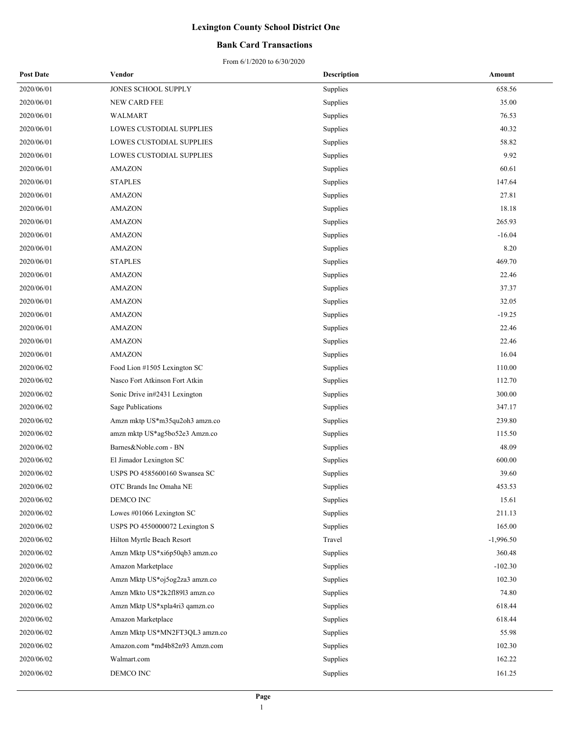### **Bank Card Transactions**

| <b>Post Date</b> | Vendor                         | <b>Description</b> | Amount      |
|------------------|--------------------------------|--------------------|-------------|
| 2020/06/01       | JONES SCHOOL SUPPLY            | Supplies           | 658.56      |
| 2020/06/01       | NEW CARD FEE                   | Supplies           | 35.00       |
| 2020/06/01       | WALMART                        | Supplies           | 76.53       |
| 2020/06/01       | LOWES CUSTODIAL SUPPLIES       | Supplies           | 40.32       |
| 2020/06/01       | LOWES CUSTODIAL SUPPLIES       | Supplies           | 58.82       |
| 2020/06/01       | LOWES CUSTODIAL SUPPLIES       | Supplies           | 9.92        |
| 2020/06/01       | <b>AMAZON</b>                  | Supplies           | 60.61       |
| 2020/06/01       | <b>STAPLES</b>                 | Supplies           | 147.64      |
| 2020/06/01       | <b>AMAZON</b>                  | Supplies           | 27.81       |
| 2020/06/01       | <b>AMAZON</b>                  | Supplies           | 18.18       |
| 2020/06/01       | <b>AMAZON</b>                  | Supplies           | 265.93      |
| 2020/06/01       | <b>AMAZON</b>                  | Supplies           | $-16.04$    |
| 2020/06/01       | <b>AMAZON</b>                  | Supplies           | 8.20        |
| 2020/06/01       | <b>STAPLES</b>                 | Supplies           | 469.70      |
| 2020/06/01       | <b>AMAZON</b>                  | Supplies           | 22.46       |
| 2020/06/01       | <b>AMAZON</b>                  | Supplies           | 37.37       |
| 2020/06/01       | <b>AMAZON</b>                  | Supplies           | 32.05       |
| 2020/06/01       | <b>AMAZON</b>                  | Supplies           | $-19.25$    |
| 2020/06/01       | <b>AMAZON</b>                  | Supplies           | 22.46       |
| 2020/06/01       | <b>AMAZON</b>                  | Supplies           | 22.46       |
| 2020/06/01       | <b>AMAZON</b>                  | Supplies           | 16.04       |
| 2020/06/02       | Food Lion #1505 Lexington SC   | Supplies           | 110.00      |
| 2020/06/02       | Nasco Fort Atkinson Fort Atkin | Supplies           | 112.70      |
| 2020/06/02       | Sonic Drive in#2431 Lexington  | Supplies           | 300.00      |
| 2020/06/02       | Sage Publications              | Supplies           | 347.17      |
| 2020/06/02       | Amzn mktp US*m35qu2oh3 amzn.co | Supplies           | 239.80      |
| 2020/06/02       | amzn mktp US*ag5bo52e3 Amzn.co | Supplies           | 115.50      |
| 2020/06/02       | Barnes&Noble.com - BN          | Supplies           | 48.09       |
| 2020/06/02       | El Jimador Lexington SC        | Supplies           | 600.00      |
| 2020/06/02       | USPS PO 4585600160 Swansea SC  | Supplies           | 39.60       |
| 2020/06/02       | OTC Brands Inc Omaha NE        | Supplies           | 453.53      |
| 2020/06/02       | DEMCO INC                      | Supplies           | 15.61       |
| 2020/06/02       | Lowes #01066 Lexington SC      | Supplies           | 211.13      |
| 2020/06/02       | USPS PO 4550000072 Lexington S | Supplies           | 165.00      |
| 2020/06/02       | Hilton Myrtle Beach Resort     | Travel             | $-1,996.50$ |
| 2020/06/02       | Amzn Mktp US*xi6p50qb3 amzn.co | Supplies           | 360.48      |
| 2020/06/02       | Amazon Marketplace             | Supplies           | $-102.30$   |
| 2020/06/02       | Amzn Mktp US*oj5og2za3 amzn.co | Supplies           | 102.30      |
| 2020/06/02       | Amzn Mkto US*2k2f18913 amzn.co | Supplies           | 74.80       |
| 2020/06/02       | Amzn Mktp US*xpla4ri3 qamzn.co | Supplies           | 618.44      |
| 2020/06/02       | Amazon Marketplace             | Supplies           | 618.44      |
| 2020/06/02       | Amzn Mktp US*MN2FT3QL3 amzn.co | Supplies           | 55.98       |
| 2020/06/02       | Amazon.com *md4b82n93 Amzn.com | Supplies           | 102.30      |
| 2020/06/02       | Walmart.com                    | Supplies           | 162.22      |
| 2020/06/02       | DEMCO INC                      | Supplies           | 161.25      |
|                  |                                |                    |             |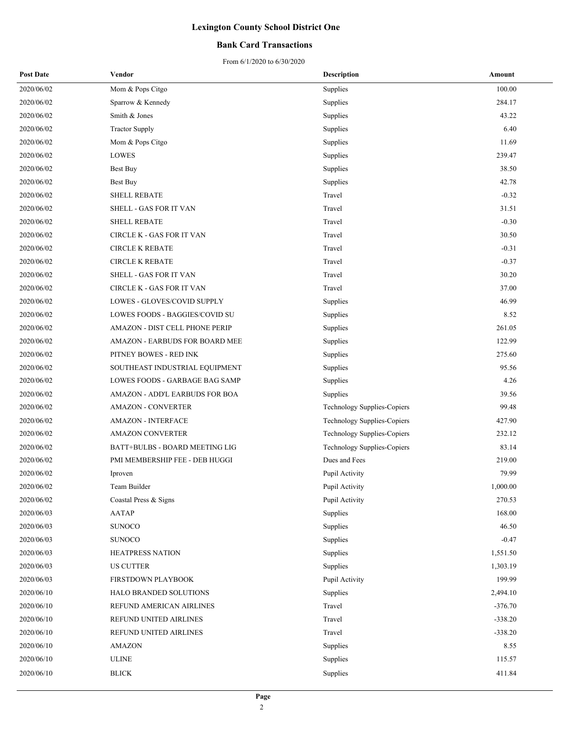### **Bank Card Transactions**

| <b>Post Date</b> | Vendor                         | <b>Description</b>          | Amount    |
|------------------|--------------------------------|-----------------------------|-----------|
| 2020/06/02       | Mom & Pops Citgo               | Supplies                    | 100.00    |
| 2020/06/02       | Sparrow & Kennedy              | Supplies                    | 284.17    |
| 2020/06/02       | Smith & Jones                  | Supplies                    | 43.22     |
| 2020/06/02       | <b>Tractor Supply</b>          | Supplies                    | 6.40      |
| 2020/06/02       | Mom & Pops Citgo               | Supplies                    | 11.69     |
| 2020/06/02       | LOWES                          | Supplies                    | 239.47    |
| 2020/06/02       | Best Buy                       | Supplies                    | 38.50     |
| 2020/06/02       | Best Buy                       | Supplies                    | 42.78     |
| 2020/06/02       | <b>SHELL REBATE</b>            | Travel                      | $-0.32$   |
| 2020/06/02       | SHELL - GAS FOR IT VAN         | Travel                      | 31.51     |
| 2020/06/02       | <b>SHELL REBATE</b>            | Travel                      | $-0.30$   |
| 2020/06/02       | CIRCLE K - GAS FOR IT VAN      | Travel                      | 30.50     |
| 2020/06/02       | <b>CIRCLE K REBATE</b>         | Travel                      | $-0.31$   |
| 2020/06/02       | <b>CIRCLE K REBATE</b>         | Travel                      | $-0.37$   |
| 2020/06/02       | SHELL - GAS FOR IT VAN         | Travel                      | 30.20     |
| 2020/06/02       | CIRCLE K - GAS FOR IT VAN      | Travel                      | 37.00     |
| 2020/06/02       | LOWES - GLOVES/COVID SUPPLY    | Supplies                    | 46.99     |
| 2020/06/02       | LOWES FOODS - BAGGIES/COVID SU | Supplies                    | 8.52      |
| 2020/06/02       | AMAZON - DIST CELL PHONE PERIP | Supplies                    | 261.05    |
| 2020/06/02       | AMAZON - EARBUDS FOR BOARD MEE | Supplies                    | 122.99    |
| 2020/06/02       | PITNEY BOWES - RED INK         | Supplies                    | 275.60    |
| 2020/06/02       | SOUTHEAST INDUSTRIAL EQUIPMENT | Supplies                    | 95.56     |
| 2020/06/02       | LOWES FOODS - GARBAGE BAG SAMP | Supplies                    | 4.26      |
| 2020/06/02       | AMAZON - ADD'L EARBUDS FOR BOA | Supplies                    | 39.56     |
| 2020/06/02       | <b>AMAZON - CONVERTER</b>      | Technology Supplies-Copiers | 99.48     |
| 2020/06/02       | <b>AMAZON - INTERFACE</b>      | Technology Supplies-Copiers | 427.90    |
| 2020/06/02       | <b>AMAZON CONVERTER</b>        | Technology Supplies-Copiers | 232.12    |
| 2020/06/02       | BATT+BULBS - BOARD MEETING LIG | Technology Supplies-Copiers | 83.14     |
| 2020/06/02       | PMI MEMBERSHIP FEE - DEB HUGGI | Dues and Fees               | 219.00    |
| 2020/06/02       | Iproven                        | Pupil Activity              | 79.99     |
| 2020/06/02       | Team Builder                   | Pupil Activity              | 1,000.00  |
| 2020/06/02       | Coastal Press & Signs          | Pupil Activity              | 270.53    |
| 2020/06/03       | AATAP                          | Supplies                    | 168.00    |
| 2020/06/03       | <b>SUNOCO</b>                  | Supplies                    | 46.50     |
| 2020/06/03       | <b>SUNOCO</b>                  | Supplies                    | $-0.47$   |
| 2020/06/03       | HEATPRESS NATION               | Supplies                    | 1,551.50  |
| 2020/06/03       | <b>US CUTTER</b>               | Supplies                    | 1,303.19  |
| 2020/06/03       | FIRSTDOWN PLAYBOOK             | Pupil Activity              | 199.99    |
| 2020/06/10       | HALO BRANDED SOLUTIONS         | Supplies                    | 2,494.10  |
| 2020/06/10       | REFUND AMERICAN AIRLINES       | Travel                      | $-376.70$ |
| 2020/06/10       | REFUND UNITED AIRLINES         | Travel                      | $-338.20$ |
| 2020/06/10       | REFUND UNITED AIRLINES         | Travel                      | $-338.20$ |
| 2020/06/10       | <b>AMAZON</b>                  | Supplies                    | 8.55      |
| 2020/06/10       | <b>ULINE</b>                   | Supplies                    | 115.57    |
| 2020/06/10       | <b>BLICK</b>                   | Supplies                    | 411.84    |
|                  |                                |                             |           |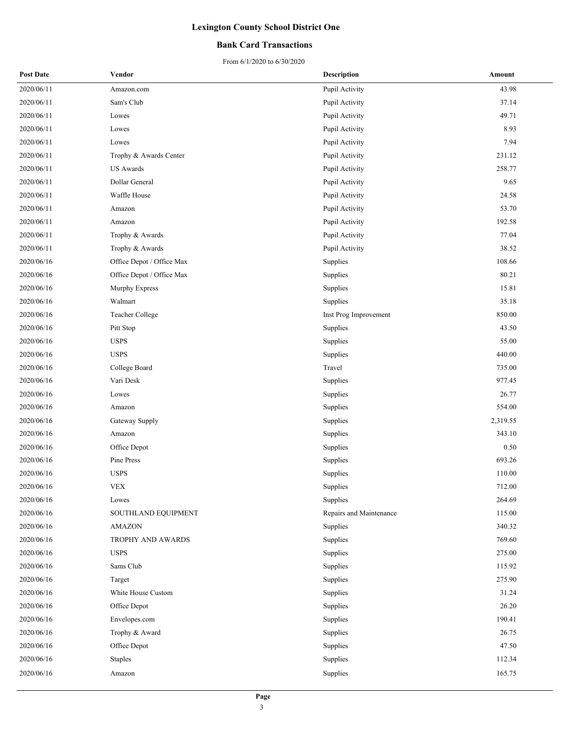### **Bank Card Transactions**

| <b>Post Date</b> | Vendor                    | <b>Description</b>      | Amount   |
|------------------|---------------------------|-------------------------|----------|
| 2020/06/11       | Amazon.com                | Pupil Activity          | 43.98    |
| 2020/06/11       | Sam's Club                | Pupil Activity          | 37.14    |
| 2020/06/11       | Lowes                     | Pupil Activity          | 49.71    |
| 2020/06/11       | Lowes                     | Pupil Activity          | 8.93     |
| 2020/06/11       | Lowes                     | Pupil Activity          | 7.94     |
| 2020/06/11       | Trophy & Awards Center    | Pupil Activity          | 231.12   |
| 2020/06/11       | US Awards                 | Pupil Activity          | 258.77   |
| 2020/06/11       | Dollar General            | Pupil Activity          | 9.65     |
| 2020/06/11       | Waffle House              | Pupil Activity          | 24.58    |
| 2020/06/11       | Amazon                    | Pupil Activity          | 53.70    |
| 2020/06/11       | Amazon                    | Pupil Activity          | 192.58   |
| 2020/06/11       | Trophy & Awards           | Pupil Activity          | 77.04    |
| 2020/06/11       | Trophy & Awards           | Pupil Activity          | 38.52    |
| 2020/06/16       | Office Depot / Office Max | Supplies                | 108.66   |
| 2020/06/16       | Office Depot / Office Max | Supplies                | 80.21    |
| 2020/06/16       | Murphy Express            | Supplies                | 15.81    |
| 2020/06/16       | Walmart                   | Supplies                | 35.18    |
| 2020/06/16       | Teacher College           | Inst Prog Improvement   | 850.00   |
| 2020/06/16       | Pitt Stop                 | Supplies                | 43.50    |
| 2020/06/16       | <b>USPS</b>               | Supplies                | 55.00    |
| 2020/06/16       | <b>USPS</b>               | Supplies                | 440.00   |
| 2020/06/16       | College Board             | Travel                  | 735.00   |
| 2020/06/16       | Vari Desk                 | Supplies                | 977.45   |
| 2020/06/16       | Lowes                     | Supplies                | 26.77    |
| 2020/06/16       | Amazon                    | Supplies                | 554.00   |
| 2020/06/16       | Gateway Supply            | Supplies                | 2,319.55 |
| 2020/06/16       | Amazon                    | Supplies                | 343.10   |
| 2020/06/16       | Office Depot              | Supplies                | 0.50     |
| 2020/06/16       | Pine Press                | Supplies                | 693.26   |
| 2020/06/16       | <b>USPS</b>               | Supplies                | 110.00   |
| 2020/06/16       | <b>VEX</b>                | Supplies                | 712.00   |
| 2020/06/16       | Lowes                     | Supplies                | 264.69   |
| 2020/06/16       | SOUTHLAND EQUIPMENT       | Repairs and Maintenance | 115.00   |
| 2020/06/16       | <b>AMAZON</b>             | Supplies                | 340.32   |
| 2020/06/16       | TROPHY AND AWARDS         | Supplies                | 769.60   |
| 2020/06/16       | <b>USPS</b>               | Supplies                | 275.00   |
| 2020/06/16       | Sams Club                 | Supplies                | 115.92   |
| 2020/06/16       | Target                    | Supplies                | 275.90   |
| 2020/06/16       | White House Custom        | Supplies                | 31.24    |
| 2020/06/16       | Office Depot              | Supplies                | 26.20    |
| 2020/06/16       | Envelopes.com             | Supplies                | 190.41   |
| 2020/06/16       | Trophy & Award            | Supplies                | 26.75    |
| 2020/06/16       | Office Depot              | Supplies                | 47.50    |
| 2020/06/16       | <b>Staples</b>            | Supplies                | 112.34   |
| 2020/06/16       | Amazon                    | Supplies                | 165.75   |
|                  |                           |                         |          |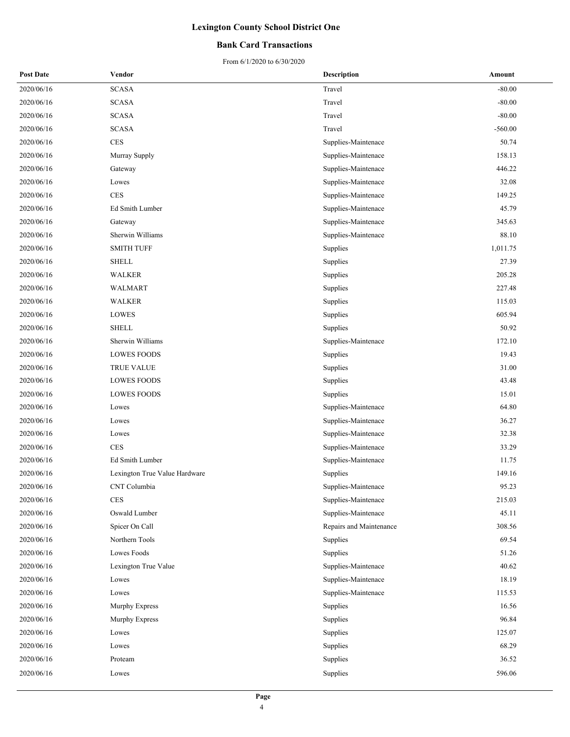### **Bank Card Transactions**

| <b>Post Date</b> | Vendor                        | <b>Description</b>      | Amount    |
|------------------|-------------------------------|-------------------------|-----------|
| 2020/06/16       | <b>SCASA</b>                  | Travel                  | $-80.00$  |
| 2020/06/16       | <b>SCASA</b>                  | Travel                  | $-80.00$  |
| 2020/06/16       | <b>SCASA</b>                  | Travel                  | $-80.00$  |
| 2020/06/16       | <b>SCASA</b>                  | Travel                  | $-560.00$ |
| 2020/06/16       | <b>CES</b>                    | Supplies-Maintenace     | 50.74     |
| 2020/06/16       | Murray Supply                 | Supplies-Maintenace     | 158.13    |
| 2020/06/16       | Gateway                       | Supplies-Maintenace     | 446.22    |
| 2020/06/16       | Lowes                         | Supplies-Maintenace     | 32.08     |
| 2020/06/16       | $\rm{CES}$                    | Supplies-Maintenace     | 149.25    |
| 2020/06/16       | Ed Smith Lumber               | Supplies-Maintenace     | 45.79     |
| 2020/06/16       | Gateway                       | Supplies-Maintenace     | 345.63    |
| 2020/06/16       | Sherwin Williams              | Supplies-Maintenace     | 88.10     |
| 2020/06/16       | <b>SMITH TUFF</b>             | Supplies                | 1,011.75  |
| 2020/06/16       | <b>SHELL</b>                  | Supplies                | 27.39     |
| 2020/06/16       | <b>WALKER</b>                 | Supplies                | 205.28    |
| 2020/06/16       | WALMART                       | Supplies                | 227.48    |
| 2020/06/16       | WALKER                        | Supplies                | 115.03    |
| 2020/06/16       | <b>LOWES</b>                  | Supplies                | 605.94    |
| 2020/06/16       | <b>SHELL</b>                  | Supplies                | 50.92     |
| 2020/06/16       | Sherwin Williams              | Supplies-Maintenace     | 172.10    |
| 2020/06/16       | <b>LOWES FOODS</b>            | Supplies                | 19.43     |
| 2020/06/16       | TRUE VALUE                    | Supplies                | 31.00     |
| 2020/06/16       | <b>LOWES FOODS</b>            | Supplies                | 43.48     |
| 2020/06/16       | <b>LOWES FOODS</b>            | Supplies                | 15.01     |
| 2020/06/16       | Lowes                         | Supplies-Maintenace     | 64.80     |
| 2020/06/16       | Lowes                         | Supplies-Maintenace     | 36.27     |
| 2020/06/16       | Lowes                         | Supplies-Maintenace     | 32.38     |
| 2020/06/16       | $\rm{CES}$                    | Supplies-Maintenace     | 33.29     |
| 2020/06/16       | Ed Smith Lumber               | Supplies-Maintenace     | 11.75     |
| 2020/06/16       | Lexington True Value Hardware | Supplies                | 149.16    |
| 2020/06/16       | CNT Columbia                  | Supplies-Maintenace     | 95.23     |
| 2020/06/16       | <b>CES</b>                    | Supplies-Maintenace     | 215.03    |
| 2020/06/16       | Oswald Lumber                 | Supplies-Maintenace     | 45.11     |
| 2020/06/16       | Spicer On Call                | Repairs and Maintenance | 308.56    |
| 2020/06/16       | Northern Tools                | Supplies                | 69.54     |
| 2020/06/16       | Lowes Foods                   | Supplies                | 51.26     |
| 2020/06/16       | Lexington True Value          | Supplies-Maintenace     | 40.62     |
| 2020/06/16       | Lowes                         | Supplies-Maintenace     | 18.19     |
| 2020/06/16       | Lowes                         | Supplies-Maintenace     | 115.53    |
| 2020/06/16       | Murphy Express                | Supplies                | 16.56     |
| 2020/06/16       | Murphy Express                | Supplies                | 96.84     |
| 2020/06/16       | Lowes                         | Supplies                | 125.07    |
| 2020/06/16       | Lowes                         | Supplies                | 68.29     |
| 2020/06/16       | Proteam                       | Supplies                | 36.52     |
| 2020/06/16       | Lowes                         | Supplies                | 596.06    |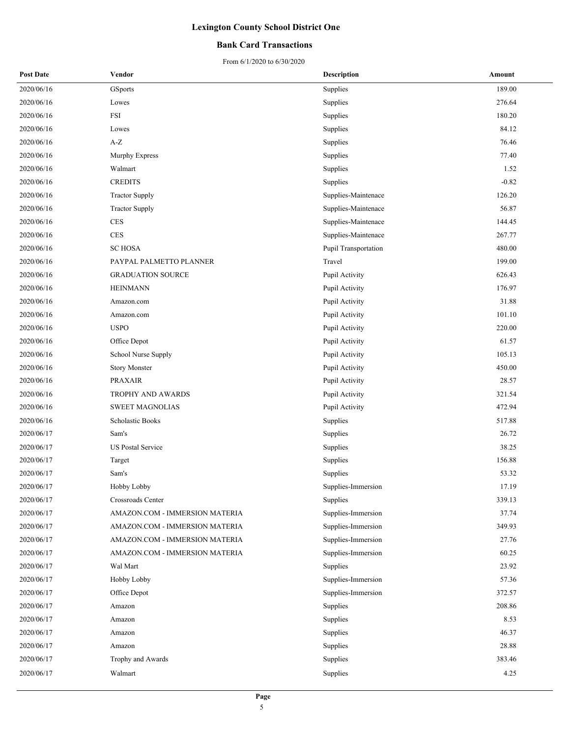### **Bank Card Transactions**

| <b>Post Date</b> | Vendor                         | <b>Description</b>   | Amount  |
|------------------|--------------------------------|----------------------|---------|
| 2020/06/16       | GSports                        | Supplies             | 189.00  |
| 2020/06/16       | Lowes                          | Supplies             | 276.64  |
| 2020/06/16       | FSI                            | Supplies             | 180.20  |
| 2020/06/16       | Lowes                          | Supplies             | 84.12   |
| 2020/06/16       | $\mathbf{A}\text{-}\mathbf{Z}$ | Supplies             | 76.46   |
| 2020/06/16       | Murphy Express                 | Supplies             | 77.40   |
| 2020/06/16       | Walmart                        | Supplies             | 1.52    |
| 2020/06/16       | <b>CREDITS</b>                 | Supplies             | $-0.82$ |
| 2020/06/16       | <b>Tractor Supply</b>          | Supplies-Maintenace  | 126.20  |
| 2020/06/16       | <b>Tractor Supply</b>          | Supplies-Maintenace  | 56.87   |
| 2020/06/16       | $\rm{CES}$                     | Supplies-Maintenace  | 144.45  |
| 2020/06/16       | <b>CES</b>                     | Supplies-Maintenace  | 267.77  |
| 2020/06/16       | <b>SCHOSA</b>                  | Pupil Transportation | 480.00  |
| 2020/06/16       | PAYPAL PALMETTO PLANNER        | Travel               | 199.00  |
| 2020/06/16       | <b>GRADUATION SOURCE</b>       | Pupil Activity       | 626.43  |
| 2020/06/16       | <b>HEINMANN</b>                | Pupil Activity       | 176.97  |
| 2020/06/16       | Amazon.com                     | Pupil Activity       | 31.88   |
| 2020/06/16       | Amazon.com                     | Pupil Activity       | 101.10  |
| 2020/06/16       | <b>USPO</b>                    | Pupil Activity       | 220.00  |
| 2020/06/16       | Office Depot                   | Pupil Activity       | 61.57   |
| 2020/06/16       | School Nurse Supply            | Pupil Activity       | 105.13  |
| 2020/06/16       | <b>Story Monster</b>           | Pupil Activity       | 450.00  |
| 2020/06/16       | <b>PRAXAIR</b>                 | Pupil Activity       | 28.57   |
| 2020/06/16       | TROPHY AND AWARDS              | Pupil Activity       | 321.54  |
| 2020/06/16       | <b>SWEET MAGNOLIAS</b>         | Pupil Activity       | 472.94  |
| 2020/06/16       | Scholastic Books               | Supplies             | 517.88  |
| 2020/06/17       | Sam's                          | Supplies             | 26.72   |
| 2020/06/17       | <b>US Postal Service</b>       | Supplies             | 38.25   |
| 2020/06/17       | Target                         | Supplies             | 156.88  |
| 2020/06/17       | Sam's                          | Supplies             | 53.32   |
| 2020/06/17       | Hobby Lobby                    | Supplies-Immersion   | 17.19   |
| 2020/06/17       | Crossroads Center              | Supplies             | 339.13  |
| 2020/06/17       | AMAZON.COM - IMMERSION MATERIA | Supplies-Immersion   | 37.74   |
| 2020/06/17       | AMAZON.COM - IMMERSION MATERIA | Supplies-Immersion   | 349.93  |
| 2020/06/17       | AMAZON.COM - IMMERSION MATERIA | Supplies-Immersion   | 27.76   |
| 2020/06/17       | AMAZON.COM - IMMERSION MATERIA | Supplies-Immersion   | 60.25   |
| 2020/06/17       | Wal Mart                       | Supplies             | 23.92   |
| 2020/06/17       | Hobby Lobby                    | Supplies-Immersion   | 57.36   |
| 2020/06/17       | Office Depot                   | Supplies-Immersion   | 372.57  |
| 2020/06/17       | Amazon                         | Supplies             | 208.86  |
| 2020/06/17       | Amazon                         | Supplies             | 8.53    |
| 2020/06/17       | Amazon                         | Supplies             | 46.37   |
| 2020/06/17       | Amazon                         | Supplies             | 28.88   |
| 2020/06/17       | Trophy and Awards              | Supplies             | 383.46  |
| 2020/06/17       | Walmart                        | Supplies             | 4.25    |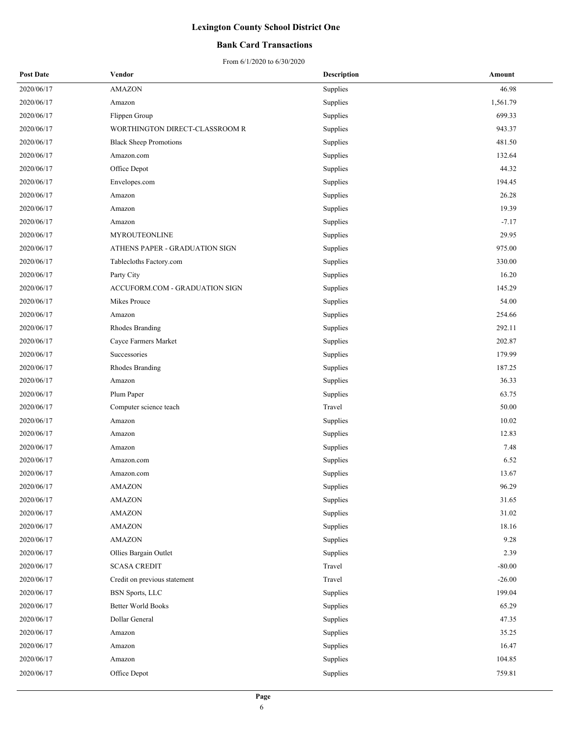### **Bank Card Transactions**

| <b>Post Date</b> | Vendor                         | <b>Description</b> | Amount   |
|------------------|--------------------------------|--------------------|----------|
| 2020/06/17       | <b>AMAZON</b>                  | Supplies           | 46.98    |
| 2020/06/17       | Amazon                         | Supplies           | 1,561.79 |
| 2020/06/17       | Flippen Group                  | Supplies           | 699.33   |
| 2020/06/17       | WORTHINGTON DIRECT-CLASSROOM R | Supplies           | 943.37   |
| 2020/06/17       | <b>Black Sheep Promotions</b>  | Supplies           | 481.50   |
| 2020/06/17       | Amazon.com                     | Supplies           | 132.64   |
| 2020/06/17       | Office Depot                   | Supplies           | 44.32    |
| 2020/06/17       | Envelopes.com                  | Supplies           | 194.45   |
| 2020/06/17       | Amazon                         | Supplies           | 26.28    |
| 2020/06/17       | Amazon                         | Supplies           | 19.39    |
| 2020/06/17       | Amazon                         | Supplies           | $-7.17$  |
| 2020/06/17       | MYROUTEONLINE                  | Supplies           | 29.95    |
| 2020/06/17       | ATHENS PAPER - GRADUATION SIGN | Supplies           | 975.00   |
| 2020/06/17       | Tablecloths Factory.com        | Supplies           | 330.00   |
| 2020/06/17       | Party City                     | Supplies           | 16.20    |
| 2020/06/17       | ACCUFORM.COM - GRADUATION SIGN | Supplies           | 145.29   |
| 2020/06/17       | Mikes Prouce                   | Supplies           | 54.00    |
| 2020/06/17       | Amazon                         | Supplies           | 254.66   |
| 2020/06/17       | Rhodes Branding                | Supplies           | 292.11   |
| 2020/06/17       | Cayce Farmers Market           | Supplies           | 202.87   |
| 2020/06/17       | Successories                   | Supplies           | 179.99   |
| 2020/06/17       | Rhodes Branding                | Supplies           | 187.25   |
| 2020/06/17       | Amazon                         | Supplies           | 36.33    |
| 2020/06/17       | Plum Paper                     | Supplies           | 63.75    |
| 2020/06/17       | Computer science teach         | Travel             | 50.00    |
| 2020/06/17       | Amazon                         | Supplies           | 10.02    |
| 2020/06/17       | Amazon                         | Supplies           | 12.83    |
| 2020/06/17       | Amazon                         | Supplies           | 7.48     |
| 2020/06/17       | Amazon.com                     | Supplies           | 6.52     |
| 2020/06/17       | Amazon.com                     | Supplies           | 13.67    |
| 2020/06/17       | AMAZON                         | Supplies           | 96.29    |
| 2020/06/17       | <b>AMAZON</b>                  | Supplies           | 31.65    |
| 2020/06/17       | <b>AMAZON</b>                  | Supplies           | 31.02    |
| 2020/06/17       | <b>AMAZON</b>                  | Supplies           | 18.16    |
| 2020/06/17       | <b>AMAZON</b>                  | Supplies           | 9.28     |
| 2020/06/17       | Ollies Bargain Outlet          | Supplies           | 2.39     |
| 2020/06/17       | <b>SCASA CREDIT</b>            | Travel             | $-80.00$ |
| 2020/06/17       | Credit on previous statement   | Travel             | $-26.00$ |
| 2020/06/17       | <b>BSN</b> Sports, LLC         | Supplies           | 199.04   |
| 2020/06/17       | <b>Better World Books</b>      | Supplies           | 65.29    |
| 2020/06/17       | Dollar General                 | Supplies           | 47.35    |
| 2020/06/17       | Amazon                         | Supplies           | 35.25    |
| 2020/06/17       | Amazon                         | Supplies           | 16.47    |
| 2020/06/17       | Amazon                         | Supplies           | 104.85   |
| 2020/06/17       | Office Depot                   | Supplies           | 759.81   |
|                  |                                |                    |          |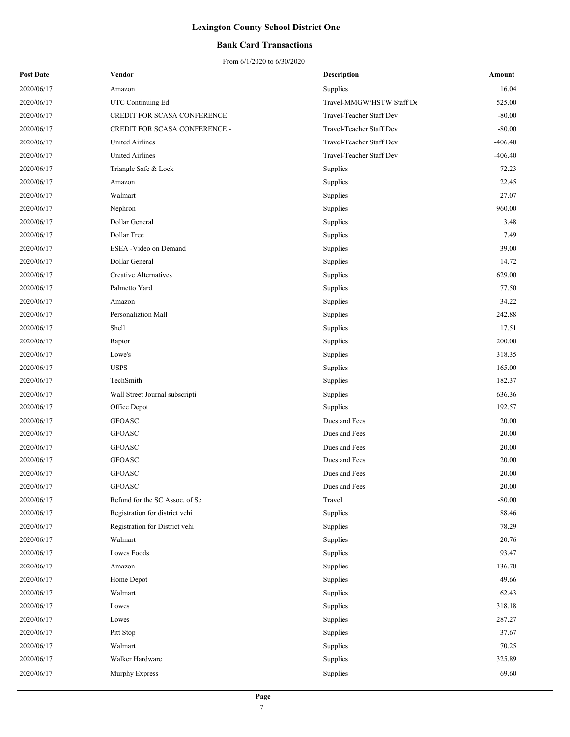### **Bank Card Transactions**

| <b>Post Date</b> | Vendor                         | <b>Description</b>        | Amount    |
|------------------|--------------------------------|---------------------------|-----------|
| 2020/06/17       | Amazon                         | Supplies                  | 16.04     |
| 2020/06/17       | UTC Continuing Ed              | Travel-MMGW/HSTW Staff De | 525.00    |
| 2020/06/17       | CREDIT FOR SCASA CONFERENCE    | Travel-Teacher Staff Dev  | $-80.00$  |
| 2020/06/17       | CREDIT FOR SCASA CONFERENCE -  | Travel-Teacher Staff Dev  | $-80.00$  |
| 2020/06/17       | <b>United Airlines</b>         | Travel-Teacher Staff Dev  | $-406.40$ |
| 2020/06/17       | United Airlines                | Travel-Teacher Staff Dev  | $-406.40$ |
| 2020/06/17       | Triangle Safe & Lock           | Supplies                  | 72.23     |
| 2020/06/17       | Amazon                         | Supplies                  | 22.45     |
| 2020/06/17       | Walmart                        | Supplies                  | 27.07     |
| 2020/06/17       | Nephron                        | Supplies                  | 960.00    |
| 2020/06/17       | Dollar General                 | Supplies                  | 3.48      |
| 2020/06/17       | Dollar Tree                    | Supplies                  | 7.49      |
| 2020/06/17       | ESEA - Video on Demand         | Supplies                  | 39.00     |
| 2020/06/17       | Dollar General                 | Supplies                  | 14.72     |
| 2020/06/17       | Creative Alternatives          | Supplies                  | 629.00    |
| 2020/06/17       | Palmetto Yard                  | Supplies                  | 77.50     |
| 2020/06/17       | Amazon                         | Supplies                  | 34.22     |
| 2020/06/17       | Personaliztion Mall            | Supplies                  | 242.88    |
| 2020/06/17       | Shell                          | Supplies                  | 17.51     |
| 2020/06/17       | Raptor                         | Supplies                  | 200.00    |
| 2020/06/17       | Lowe's                         | Supplies                  | 318.35    |
| 2020/06/17       | <b>USPS</b>                    | Supplies                  | 165.00    |
| 2020/06/17       | TechSmith                      | Supplies                  | 182.37    |
| 2020/06/17       | Wall Street Journal subscripti | Supplies                  | 636.36    |
| 2020/06/17       | Office Depot                   | Supplies                  | 192.57    |
| 2020/06/17       | <b>GFOASC</b>                  | Dues and Fees             | 20.00     |
| 2020/06/17       | <b>GFOASC</b>                  | Dues and Fees             | 20.00     |
| 2020/06/17       | <b>GFOASC</b>                  | Dues and Fees             | 20.00     |
| 2020/06/17       | <b>GFOASC</b>                  | Dues and Fees             | 20.00     |
| 2020/06/17       | <b>GFOASC</b>                  | Dues and Fees             | 20.00     |
| 2020/06/17       | <b>GFOASC</b>                  | Dues and Fees             | 20.00     |
| 2020/06/17       | Refund for the SC Assoc. of Sc | Travel                    | $-80.00$  |
| 2020/06/17       | Registration for district vehi | Supplies                  | 88.46     |
| 2020/06/17       | Registration for District vehi | Supplies                  | 78.29     |
| 2020/06/17       | Walmart                        | Supplies                  | 20.76     |
| 2020/06/17       | Lowes Foods                    | Supplies                  | 93.47     |
| 2020/06/17       | Amazon                         | Supplies                  | 136.70    |
| 2020/06/17       | Home Depot                     | Supplies                  | 49.66     |
| 2020/06/17       | Walmart                        | Supplies                  | 62.43     |
| 2020/06/17       | Lowes                          | Supplies                  | 318.18    |
| 2020/06/17       | Lowes                          | Supplies                  | 287.27    |
| 2020/06/17       | Pitt Stop                      | Supplies                  | 37.67     |
| 2020/06/17       | Walmart                        | Supplies                  | 70.25     |
| 2020/06/17       | Walker Hardware                | Supplies                  | 325.89    |
| 2020/06/17       | Murphy Express                 | Supplies                  | 69.60     |
|                  |                                |                           |           |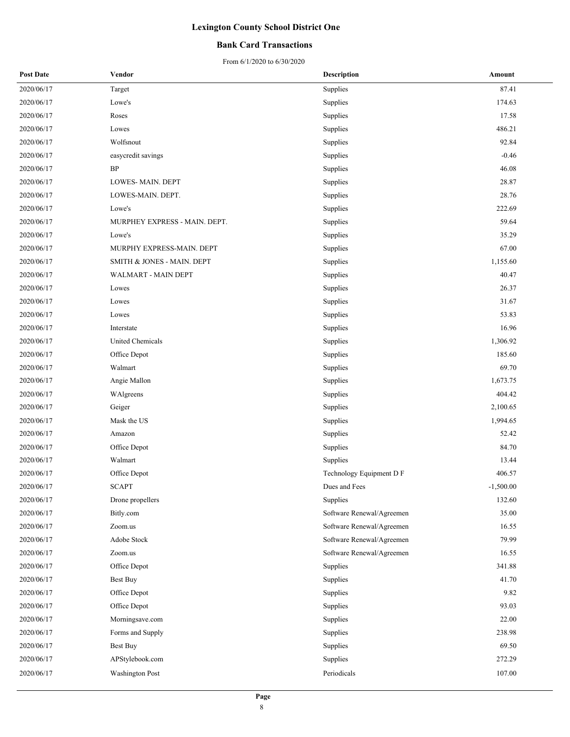### **Bank Card Transactions**

| <b>Post Date</b> | Vendor                        | <b>Description</b>        | Amount      |
|------------------|-------------------------------|---------------------------|-------------|
| 2020/06/17       | Target                        | Supplies                  | 87.41       |
| 2020/06/17       | Lowe's                        | Supplies                  | 174.63      |
| 2020/06/17       | Roses                         | Supplies                  | 17.58       |
| 2020/06/17       | Lowes                         | Supplies                  | 486.21      |
| 2020/06/17       | Wolfsnout                     | Supplies                  | 92.84       |
| 2020/06/17       | easycredit savings            | Supplies                  | $-0.46$     |
| 2020/06/17       | BP                            | Supplies                  | 46.08       |
| 2020/06/17       | <b>LOWES-MAIN. DEPT</b>       | Supplies                  | 28.87       |
| 2020/06/17       | LOWES-MAIN. DEPT.             | Supplies                  | 28.76       |
| 2020/06/17       | Lowe's                        | Supplies                  | 222.69      |
| 2020/06/17       | MURPHEY EXPRESS - MAIN. DEPT. | Supplies                  | 59.64       |
| 2020/06/17       | Lowe's                        | Supplies                  | 35.29       |
| 2020/06/17       | MURPHY EXPRESS-MAIN. DEPT     | Supplies                  | 67.00       |
| 2020/06/17       | SMITH & JONES - MAIN. DEPT    | Supplies                  | 1,155.60    |
| 2020/06/17       | WALMART - MAIN DEPT           | Supplies                  | 40.47       |
| 2020/06/17       | Lowes                         | Supplies                  | 26.37       |
| 2020/06/17       | Lowes                         | Supplies                  | 31.67       |
| 2020/06/17       | Lowes                         | Supplies                  | 53.83       |
| 2020/06/17       | Interstate                    | Supplies                  | 16.96       |
| 2020/06/17       | United Chemicals              | Supplies                  | 1,306.92    |
| 2020/06/17       | Office Depot                  | Supplies                  | 185.60      |
| 2020/06/17       | Walmart                       | Supplies                  | 69.70       |
| 2020/06/17       | Angie Mallon                  | Supplies                  | 1,673.75    |
| 2020/06/17       | WAlgreens                     | Supplies                  | 404.42      |
| 2020/06/17       | Geiger                        | Supplies                  | 2,100.65    |
| 2020/06/17       | Mask the US                   | Supplies                  | 1,994.65    |
| 2020/06/17       | Amazon                        | Supplies                  | 52.42       |
| 2020/06/17       | Office Depot                  | Supplies                  | 84.70       |
| 2020/06/17       | Walmart                       | Supplies                  | 13.44       |
| 2020/06/17       | Office Depot                  | Technology Equipment D F  | 406.57      |
| 2020/06/17       | <b>SCAPT</b>                  | Dues and Fees             | $-1,500.00$ |
| 2020/06/17       | Drone propellers              | Supplies                  | 132.60      |
| 2020/06/17       | Bitly.com                     | Software Renewal/Agreemen | 35.00       |
| 2020/06/17       | Zoom.us                       | Software Renewal/Agreemen | 16.55       |
| 2020/06/17       | Adobe Stock                   | Software Renewal/Agreemen | 79.99       |
| 2020/06/17       | Zoom.us                       | Software Renewal/Agreemen | 16.55       |
| 2020/06/17       | Office Depot                  | Supplies                  | 341.88      |
| 2020/06/17       | Best Buy                      | Supplies                  | 41.70       |
| 2020/06/17       | Office Depot                  | Supplies                  | 9.82        |
| 2020/06/17       | Office Depot                  | Supplies                  | 93.03       |
| 2020/06/17       | Morningsave.com               | Supplies                  | 22.00       |
| 2020/06/17       | Forms and Supply              | Supplies                  | 238.98      |
| 2020/06/17       | <b>Best Buy</b>               | Supplies                  | 69.50       |
| 2020/06/17       | APStylebook.com               | Supplies                  | 272.29      |
| 2020/06/17       | <b>Washington Post</b>        | Periodicals               | 107.00      |
|                  |                               |                           |             |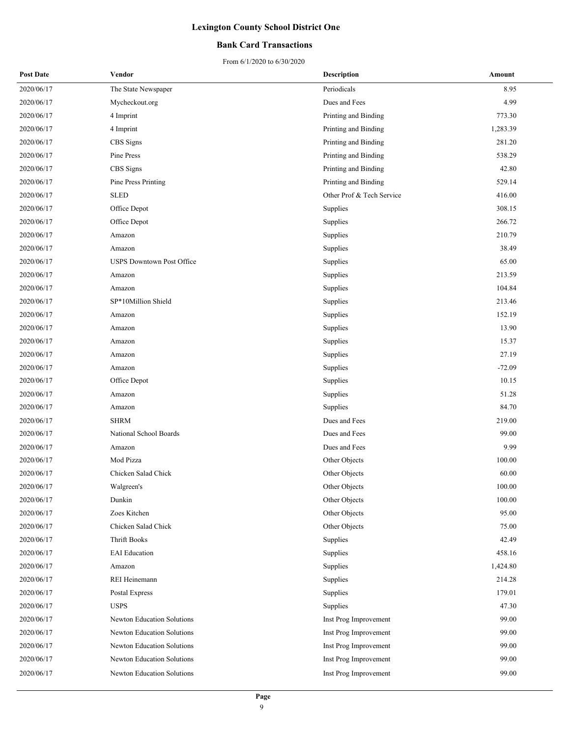### **Bank Card Transactions**

| <b>Post Date</b> | Vendor                            | Description               | Amount   |
|------------------|-----------------------------------|---------------------------|----------|
| 2020/06/17       | The State Newspaper               | Periodicals               | 8.95     |
| 2020/06/17       | Mycheckout.org                    | Dues and Fees             | 4.99     |
| 2020/06/17       | 4 Imprint                         | Printing and Binding      | 773.30   |
| 2020/06/17       | 4 Imprint                         | Printing and Binding      | 1,283.39 |
| 2020/06/17       | CBS Signs                         | Printing and Binding      | 281.20   |
| 2020/06/17       | Pine Press                        | Printing and Binding      | 538.29   |
| 2020/06/17       | CBS Signs                         | Printing and Binding      | 42.80    |
| 2020/06/17       | Pine Press Printing               | Printing and Binding      | 529.14   |
| 2020/06/17       | SLED                              | Other Prof & Tech Service | 416.00   |
| 2020/06/17       | Office Depot                      | Supplies                  | 308.15   |
| 2020/06/17       | Office Depot                      | Supplies                  | 266.72   |
| 2020/06/17       | Amazon                            | Supplies                  | 210.79   |
| 2020/06/17       | Amazon                            | Supplies                  | 38.49    |
| 2020/06/17       | <b>USPS Downtown Post Office</b>  | Supplies                  | 65.00    |
| 2020/06/17       | Amazon                            | Supplies                  | 213.59   |
| 2020/06/17       | Amazon                            | Supplies                  | 104.84   |
| 2020/06/17       | SP*10Million Shield               | Supplies                  | 213.46   |
| 2020/06/17       | Amazon                            | Supplies                  | 152.19   |
| 2020/06/17       | Amazon                            | Supplies                  | 13.90    |
| 2020/06/17       | Amazon                            | Supplies                  | 15.37    |
| 2020/06/17       | Amazon                            | Supplies                  | 27.19    |
| 2020/06/17       | Amazon                            | Supplies                  | $-72.09$ |
| 2020/06/17       | Office Depot                      | Supplies                  | 10.15    |
| 2020/06/17       | Amazon                            | Supplies                  | 51.28    |
| 2020/06/17       | Amazon                            | Supplies                  | 84.70    |
| 2020/06/17       | <b>SHRM</b>                       | Dues and Fees             | 219.00   |
| 2020/06/17       | National School Boards            | Dues and Fees             | 99.00    |
| 2020/06/17       | Amazon                            | Dues and Fees             | 9.99     |
| 2020/06/17       | Mod Pizza                         | Other Objects             | 100.00   |
| 2020/06/17       | Chicken Salad Chick               | Other Objects             | 60.00    |
| 2020/06/17       | Walgreen's                        | Other Objects             | 100.00   |
| 2020/06/17       | Dunkin                            | Other Objects             | 100.00   |
| 2020/06/17       | Zoes Kitchen                      | Other Objects             | 95.00    |
| 2020/06/17       | Chicken Salad Chick               | Other Objects             | 75.00    |
| 2020/06/17       | Thrift Books                      | Supplies                  | 42.49    |
| 2020/06/17       | <b>EAI</b> Education              | Supplies                  | 458.16   |
| 2020/06/17       | Amazon                            | Supplies                  | 1,424.80 |
| 2020/06/17       | REI Heinemann                     | Supplies                  | 214.28   |
| 2020/06/17       | Postal Express                    | Supplies                  | 179.01   |
| 2020/06/17       | <b>USPS</b>                       | Supplies                  | 47.30    |
| 2020/06/17       | <b>Newton Education Solutions</b> | Inst Prog Improvement     | 99.00    |
| 2020/06/17       | Newton Education Solutions        | Inst Prog Improvement     | 99.00    |
| 2020/06/17       | Newton Education Solutions        | Inst Prog Improvement     | 99.00    |
| 2020/06/17       | Newton Education Solutions        | Inst Prog Improvement     | 99.00    |
| 2020/06/17       | Newton Education Solutions        | Inst Prog Improvement     | 99.00    |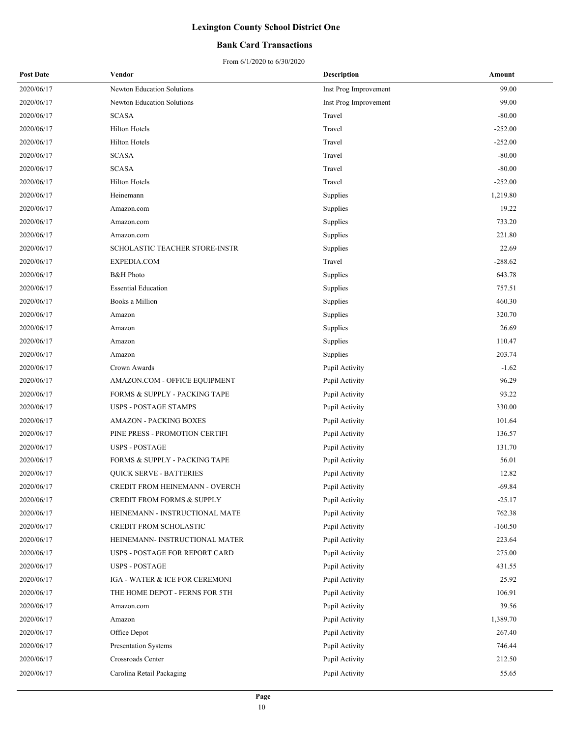### **Bank Card Transactions**

| <b>Post Date</b> | Vendor                                | <b>Description</b>    | Amount    |
|------------------|---------------------------------------|-----------------------|-----------|
| 2020/06/17       | <b>Newton Education Solutions</b>     | Inst Prog Improvement | 99.00     |
| 2020/06/17       | <b>Newton Education Solutions</b>     | Inst Prog Improvement | 99.00     |
| 2020/06/17       | <b>SCASA</b>                          | Travel                | $-80.00$  |
| 2020/06/17       | <b>Hilton Hotels</b>                  | Travel                | $-252.00$ |
| 2020/06/17       | <b>Hilton Hotels</b>                  | Travel                | $-252.00$ |
| 2020/06/17       | <b>SCASA</b>                          | Travel                | $-80.00$  |
| 2020/06/17       | <b>SCASA</b>                          | Travel                | $-80.00$  |
| 2020/06/17       | <b>Hilton Hotels</b>                  | Travel                | $-252.00$ |
| 2020/06/17       | Heinemann                             | Supplies              | 1,219.80  |
| 2020/06/17       | Amazon.com                            | Supplies              | 19.22     |
| 2020/06/17       | Amazon.com                            | Supplies              | 733.20    |
| 2020/06/17       | Amazon.com                            | Supplies              | 221.80    |
| 2020/06/17       | SCHOLASTIC TEACHER STORE-INSTR        | Supplies              | 22.69     |
| 2020/06/17       | EXPEDIA.COM                           | Travel                | $-288.62$ |
| 2020/06/17       | <b>B&amp;H</b> Photo                  | Supplies              | 643.78    |
| 2020/06/17       | <b>Essential Education</b>            | Supplies              | 757.51    |
| 2020/06/17       | Books a Million                       | Supplies              | 460.30    |
| 2020/06/17       | Amazon                                | Supplies              | 320.70    |
| 2020/06/17       | Amazon                                | Supplies              | 26.69     |
| 2020/06/17       | Amazon                                | Supplies              | 110.47    |
| 2020/06/17       | Amazon                                | Supplies              | 203.74    |
| 2020/06/17       | Crown Awards                          | Pupil Activity        | $-1.62$   |
| 2020/06/17       | AMAZON.COM - OFFICE EQUIPMENT         | Pupil Activity        | 96.29     |
| 2020/06/17       | FORMS & SUPPLY - PACKING TAPE         | Pupil Activity        | 93.22     |
| 2020/06/17       | <b>USPS - POSTAGE STAMPS</b>          | Pupil Activity        | 330.00    |
| 2020/06/17       | <b>AMAZON - PACKING BOXES</b>         | Pupil Activity        | 101.64    |
| 2020/06/17       | PINE PRESS - PROMOTION CERTIFI        | Pupil Activity        | 136.57    |
| 2020/06/17       | <b>USPS - POSTAGE</b>                 | Pupil Activity        | 131.70    |
| 2020/06/17       | FORMS & SUPPLY - PACKING TAPE         | Pupil Activity        | 56.01     |
| 2020/06/17       | <b>QUICK SERVE - BATTERIES</b>        | Pupil Activity        | 12.82     |
| 2020/06/17       | CREDIT FROM HEINEMANN - OVERCH        | Pupil Activity        | $-69.84$  |
| 2020/06/17       | <b>CREDIT FROM FORMS &amp; SUPPLY</b> | Pupil Activity        | $-25.17$  |
| 2020/06/17       | HEINEMANN - INSTRUCTIONAL MATE        | Pupil Activity        | 762.38    |
| 2020/06/17       | CREDIT FROM SCHOLASTIC                | Pupil Activity        | $-160.50$ |
| 2020/06/17       | HEINEMANN- INSTRUCTIONAL MATER        | Pupil Activity        | 223.64    |
| 2020/06/17       | USPS - POSTAGE FOR REPORT CARD        | Pupil Activity        | 275.00    |
| 2020/06/17       | <b>USPS - POSTAGE</b>                 | Pupil Activity        | 431.55    |
| 2020/06/17       | IGA - WATER & ICE FOR CEREMONI        | Pupil Activity        | 25.92     |
| 2020/06/17       | THE HOME DEPOT - FERNS FOR 5TH        | Pupil Activity        | 106.91    |
| 2020/06/17       | Amazon.com                            | Pupil Activity        | 39.56     |
| 2020/06/17       | Amazon                                | Pupil Activity        | 1,389.70  |
| 2020/06/17       | Office Depot                          | Pupil Activity        | 267.40    |
| 2020/06/17       | Presentation Systems                  | Pupil Activity        | 746.44    |
| 2020/06/17       | Crossroads Center                     | Pupil Activity        | 212.50    |
| 2020/06/17       | Carolina Retail Packaging             | Pupil Activity        | 55.65     |
|                  |                                       |                       |           |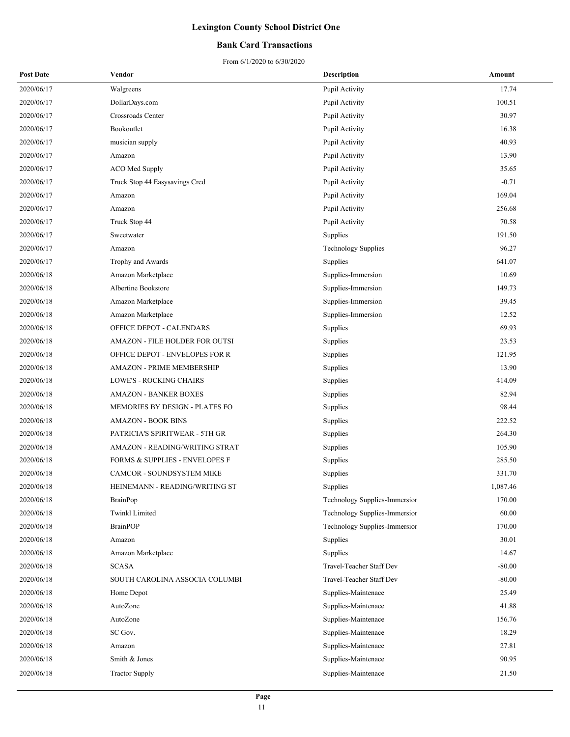### **Bank Card Transactions**

| <b>Post Date</b> | Vendor                         | <b>Description</b>            | Amount   |
|------------------|--------------------------------|-------------------------------|----------|
| 2020/06/17       | Walgreens                      | Pupil Activity                | 17.74    |
| 2020/06/17       | DollarDays.com                 | Pupil Activity                | 100.51   |
| 2020/06/17       | Crossroads Center              | Pupil Activity                | 30.97    |
| 2020/06/17       | Bookoutlet                     | Pupil Activity                | 16.38    |
| 2020/06/17       | musician supply                | Pupil Activity                | 40.93    |
| 2020/06/17       | Amazon                         | Pupil Activity                | 13.90    |
| 2020/06/17       | ACO Med Supply                 | Pupil Activity                | 35.65    |
| 2020/06/17       | Truck Stop 44 Easysavings Cred | Pupil Activity                | $-0.71$  |
| 2020/06/17       | Amazon                         | Pupil Activity                | 169.04   |
| 2020/06/17       | Amazon                         | Pupil Activity                | 256.68   |
| 2020/06/17       | Truck Stop 44                  | Pupil Activity                | 70.58    |
| 2020/06/17       | Sweetwater                     | Supplies                      | 191.50   |
| 2020/06/17       | Amazon                         | <b>Technology Supplies</b>    | 96.27    |
| 2020/06/17       | Trophy and Awards              | Supplies                      | 641.07   |
| 2020/06/18       | Amazon Marketplace             | Supplies-Immersion            | 10.69    |
| 2020/06/18       | Albertine Bookstore            | Supplies-Immersion            | 149.73   |
| 2020/06/18       | Amazon Marketplace             | Supplies-Immersion            | 39.45    |
| 2020/06/18       | Amazon Marketplace             | Supplies-Immersion            | 12.52    |
| 2020/06/18       | OFFICE DEPOT - CALENDARS       | Supplies                      | 69.93    |
| 2020/06/18       | AMAZON - FILE HOLDER FOR OUTSI | Supplies                      | 23.53    |
| 2020/06/18       | OFFICE DEPOT - ENVELOPES FOR R | Supplies                      | 121.95   |
| 2020/06/18       | AMAZON - PRIME MEMBERSHIP      | Supplies                      | 13.90    |
| 2020/06/18       | LOWE'S - ROCKING CHAIRS        | Supplies                      | 414.09   |
| 2020/06/18       | <b>AMAZON - BANKER BOXES</b>   | Supplies                      | 82.94    |
| 2020/06/18       | MEMORIES BY DESIGN - PLATES FO | Supplies                      | 98.44    |
| 2020/06/18       | <b>AMAZON - BOOK BINS</b>      | Supplies                      | 222.52   |
| 2020/06/18       | PATRICIA'S SPIRITWEAR - 5TH GR | Supplies                      | 264.30   |
| 2020/06/18       | AMAZON - READING/WRITING STRAT | Supplies                      | 105.90   |
| 2020/06/18       | FORMS & SUPPLIES - ENVELOPES F | Supplies                      | 285.50   |
| 2020/06/18       | CAMCOR - SOUNDSYSTEM MIKE      | Supplies                      | 331.70   |
| 2020/06/18       | HEINEMANN - READING/WRITING ST | Supplies                      | 1,087.46 |
| 2020/06/18       | <b>BrainPop</b>                | Technology Supplies-Immersion | 170.00   |
| 2020/06/18       | <b>Twinkl Limited</b>          | Technology Supplies-Immersion | 60.00    |
| 2020/06/18       | <b>BrainPOP</b>                | Technology Supplies-Immersion | 170.00   |
| 2020/06/18       | Amazon                         | Supplies                      | 30.01    |
| 2020/06/18       | Amazon Marketplace             | Supplies                      | 14.67    |
| 2020/06/18       | <b>SCASA</b>                   | Travel-Teacher Staff Dev      | $-80.00$ |
| 2020/06/18       | SOUTH CAROLINA ASSOCIA COLUMBI | Travel-Teacher Staff Dev      | $-80.00$ |
| 2020/06/18       | Home Depot                     | Supplies-Maintenace           | 25.49    |
| 2020/06/18       | AutoZone                       | Supplies-Maintenace           | 41.88    |
| 2020/06/18       | AutoZone                       | Supplies-Maintenace           | 156.76   |
| 2020/06/18       | SC Gov.                        | Supplies-Maintenace           | 18.29    |
| 2020/06/18       | Amazon                         | Supplies-Maintenace           | 27.81    |
| 2020/06/18       | Smith & Jones                  | Supplies-Maintenace           | 90.95    |
| 2020/06/18       | <b>Tractor Supply</b>          | Supplies-Maintenace           | 21.50    |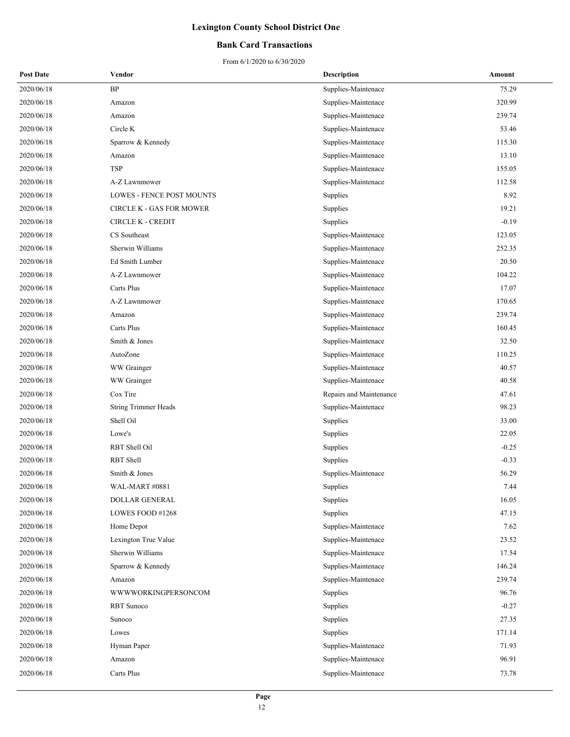### **Bank Card Transactions**

| <b>Post Date</b> | Vendor                          | <b>Description</b>      | Amount  |
|------------------|---------------------------------|-------------------------|---------|
| 2020/06/18       | $\rm BP$                        | Supplies-Maintenace     | 75.29   |
| 2020/06/18       | Amazon                          | Supplies-Maintenace     | 320.99  |
| 2020/06/18       | Amazon                          | Supplies-Maintenace     | 239.74  |
| 2020/06/18       | Circle K                        | Supplies-Maintenace     | 53.46   |
| 2020/06/18       | Sparrow & Kennedy               | Supplies-Maintenace     | 115.30  |
| 2020/06/18       | Amazon                          | Supplies-Maintenace     | 13.10   |
| 2020/06/18       | <b>TSP</b>                      | Supplies-Maintenace     | 155.05  |
| 2020/06/18       | A-Z Lawnmower                   | Supplies-Maintenace     | 112.58  |
| 2020/06/18       | LOWES - FENCE POST MOUNTS       | Supplies                | 8.92    |
| 2020/06/18       | <b>CIRCLE K - GAS FOR MOWER</b> | Supplies                | 19.21   |
| 2020/06/18       | <b>CIRCLE K - CREDIT</b>        | Supplies                | $-0.19$ |
| 2020/06/18       | CS Southeast                    | Supplies-Maintenace     | 123.05  |
| 2020/06/18       | Sherwin Williams                | Supplies-Maintenace     | 252.35  |
| 2020/06/18       | Ed Smith Lumber                 | Supplies-Maintenace     | 20.50   |
| 2020/06/18       | A-Z Lawnmower                   | Supplies-Maintenace     | 104.22  |
| 2020/06/18       | Carts Plus                      | Supplies-Maintenace     | 17.07   |
| 2020/06/18       | A-Z Lawnmower                   | Supplies-Maintenace     | 170.65  |
| 2020/06/18       | Amazon                          | Supplies-Maintenace     | 239.74  |
| 2020/06/18       | Carts Plus                      | Supplies-Maintenace     | 160.45  |
| 2020/06/18       | Smith & Jones                   | Supplies-Maintenace     | 32.50   |
| 2020/06/18       | AutoZone                        | Supplies-Maintenace     | 110.25  |
| 2020/06/18       | WW Grainger                     | Supplies-Maintenace     | 40.57   |
| 2020/06/18       | WW Grainger                     | Supplies-Maintenace     | 40.58   |
| 2020/06/18       | Cox Tire                        | Repairs and Maintenance | 47.61   |
| 2020/06/18       | <b>String Trimmer Heads</b>     | Supplies-Maintenace     | 98.23   |
| 2020/06/18       | Shell Oil                       | Supplies                | 33.00   |
| 2020/06/18       | Lowe's                          | Supplies                | 22.05   |
| 2020/06/18       | RBT Shell Oil                   | Supplies                | $-0.25$ |
| 2020/06/18       | RBT Shell                       | Supplies                | $-0.33$ |
| 2020/06/18       | Smith & Jones                   | Supplies-Maintenace     | 56.29   |
| 2020/06/18       | <b>WAL-MART #0881</b>           | Supplies                | 7.44    |
| 2020/06/18       | DOLLAR GENERAL                  | Supplies                | 16.05   |
| 2020/06/18       | LOWES FOOD #1268                | Supplies                | 47.15   |
| 2020/06/18       | Home Depot                      | Supplies-Maintenace     | 7.62    |
| 2020/06/18       | Lexington True Value            | Supplies-Maintenace     | 23.52   |
| 2020/06/18       | Sherwin Williams                | Supplies-Maintenace     | 17.54   |
| 2020/06/18       | Sparrow & Kennedy               | Supplies-Maintenace     | 146.24  |
| 2020/06/18       | Amazon                          | Supplies-Maintenace     | 239.74  |
| 2020/06/18       | WWWWORKINGPERSONCOM             | Supplies                | 96.76   |
| 2020/06/18       | RBT Sunoco                      | Supplies                | $-0.27$ |
| 2020/06/18       | Sunoco                          | Supplies                | 27.35   |
| 2020/06/18       | Lowes                           | Supplies                | 171.14  |
| 2020/06/18       | Hyman Paper                     | Supplies-Maintenace     | 71.93   |
| 2020/06/18       | Amazon                          | Supplies-Maintenace     | 96.91   |
| 2020/06/18       | Carts Plus                      | Supplies-Maintenace     | 73.78   |
|                  |                                 |                         |         |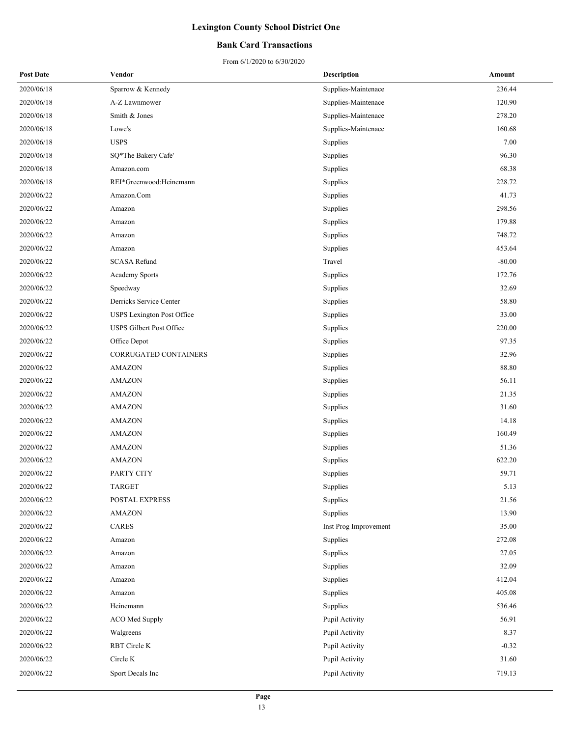### **Bank Card Transactions**

| <b>Post Date</b> | Vendor                          | <b>Description</b>    | Amount   |
|------------------|---------------------------------|-----------------------|----------|
| 2020/06/18       | Sparrow & Kennedy               | Supplies-Maintenace   | 236.44   |
| 2020/06/18       | A-Z Lawnmower                   | Supplies-Maintenace   | 120.90   |
| 2020/06/18       | Smith & Jones                   | Supplies-Maintenace   | 278.20   |
| 2020/06/18       | Lowe's                          | Supplies-Maintenace   | 160.68   |
| 2020/06/18       | <b>USPS</b>                     | Supplies              | 7.00     |
| 2020/06/18       | SQ*The Bakery Cafe'             | Supplies              | 96.30    |
| 2020/06/18       | Amazon.com                      | Supplies              | 68.38    |
| 2020/06/18       | REI*Greenwood:Heinemann         | Supplies              | 228.72   |
| 2020/06/22       | Amazon.Com                      | Supplies              | 41.73    |
| 2020/06/22       | Amazon                          | Supplies              | 298.56   |
| 2020/06/22       | Amazon                          | Supplies              | 179.88   |
| 2020/06/22       | Amazon                          | Supplies              | 748.72   |
| 2020/06/22       | Amazon                          | Supplies              | 453.64   |
| 2020/06/22       | <b>SCASA Refund</b>             | Travel                | $-80.00$ |
| 2020/06/22       | <b>Academy Sports</b>           | Supplies              | 172.76   |
| 2020/06/22       | Speedway                        | Supplies              | 32.69    |
| 2020/06/22       | Derricks Service Center         | Supplies              | 58.80    |
| 2020/06/22       | USPS Lexington Post Office      | Supplies              | 33.00    |
| 2020/06/22       | <b>USPS Gilbert Post Office</b> | Supplies              | 220.00   |
| 2020/06/22       | Office Depot                    | Supplies              | 97.35    |
| 2020/06/22       | CORRUGATED CONTAINERS           | Supplies              | 32.96    |
| 2020/06/22       | <b>AMAZON</b>                   | Supplies              | 88.80    |
| 2020/06/22       | <b>AMAZON</b>                   | Supplies              | 56.11    |
| 2020/06/22       | <b>AMAZON</b>                   | Supplies              | 21.35    |
| 2020/06/22       | <b>AMAZON</b>                   | Supplies              | 31.60    |
| 2020/06/22       | <b>AMAZON</b>                   | Supplies              | 14.18    |
| 2020/06/22       | <b>AMAZON</b>                   | Supplies              | 160.49   |
| 2020/06/22       | <b>AMAZON</b>                   | Supplies              | 51.36    |
| 2020/06/22       | <b>AMAZON</b>                   | Supplies              | 622.20   |
| 2020/06/22       | PARTY CITY                      | Supplies              | 59.71    |
| 2020/06/22       | <b>TARGET</b>                   | Supplies              | 5.13     |
| 2020/06/22       | POSTAL EXPRESS                  | Supplies              | 21.56    |
| 2020/06/22       | <b>AMAZON</b>                   | Supplies              | 13.90    |
| 2020/06/22       | CARES                           | Inst Prog Improvement | 35.00    |
| 2020/06/22       | Amazon                          | Supplies              | 272.08   |
| 2020/06/22       | Amazon                          | Supplies              | 27.05    |
| 2020/06/22       | Amazon                          | Supplies              | 32.09    |
| 2020/06/22       | Amazon                          | Supplies              | 412.04   |
| 2020/06/22       | Amazon                          | Supplies              | 405.08   |
| 2020/06/22       | Heinemann                       | Supplies              | 536.46   |
| 2020/06/22       | ACO Med Supply                  | Pupil Activity        | 56.91    |
| 2020/06/22       | Walgreens                       | Pupil Activity        | 8.37     |
| 2020/06/22       | RBT Circle K                    | Pupil Activity        | $-0.32$  |
| 2020/06/22       | Circle K                        | Pupil Activity        | 31.60    |
| 2020/06/22       | Sport Decals Inc                | Pupil Activity        | 719.13   |
|                  |                                 |                       |          |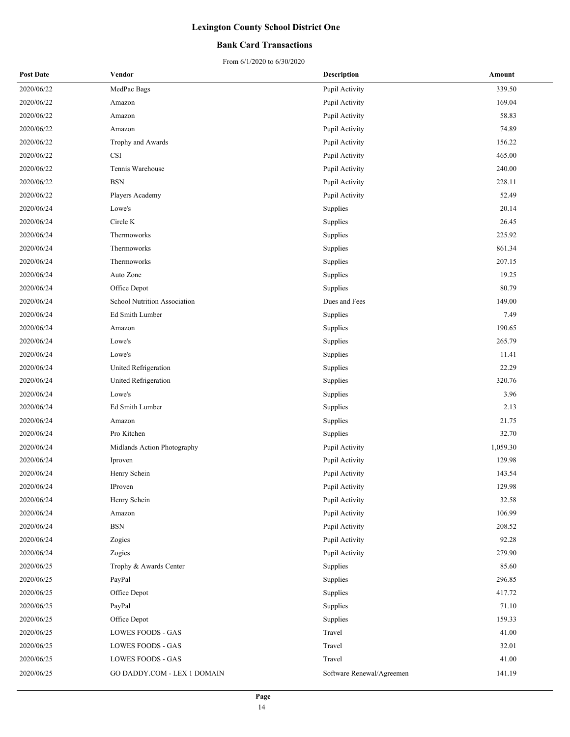### **Bank Card Transactions**

| <b>Post Date</b> | Vendor                       | <b>Description</b>        | Amount   |
|------------------|------------------------------|---------------------------|----------|
| 2020/06/22       | MedPac Bags                  | Pupil Activity            | 339.50   |
| 2020/06/22       | Amazon                       | Pupil Activity            | 169.04   |
| 2020/06/22       | Amazon                       | Pupil Activity            | 58.83    |
| 2020/06/22       | Amazon                       | Pupil Activity            | 74.89    |
| 2020/06/22       | Trophy and Awards            | Pupil Activity            | 156.22   |
| 2020/06/22       | <b>CSI</b>                   | Pupil Activity            | 465.00   |
| 2020/06/22       | Tennis Warehouse             | Pupil Activity            | 240.00   |
| 2020/06/22       | <b>BSN</b>                   | Pupil Activity            | 228.11   |
| 2020/06/22       | Players Academy              | Pupil Activity            | 52.49    |
| 2020/06/24       | Lowe's                       | Supplies                  | 20.14    |
| 2020/06/24       | Circle K                     | Supplies                  | 26.45    |
| 2020/06/24       | Thermoworks                  | Supplies                  | 225.92   |
| 2020/06/24       | Thermoworks                  | Supplies                  | 861.34   |
| 2020/06/24       | Thermoworks                  | Supplies                  | 207.15   |
| 2020/06/24       | Auto Zone                    | Supplies                  | 19.25    |
| 2020/06/24       | Office Depot                 | Supplies                  | 80.79    |
| 2020/06/24       | School Nutrition Association | Dues and Fees             | 149.00   |
| 2020/06/24       | Ed Smith Lumber              | Supplies                  | 7.49     |
| 2020/06/24       | Amazon                       | Supplies                  | 190.65   |
| 2020/06/24       | Lowe's                       | Supplies                  | 265.79   |
| 2020/06/24       | Lowe's                       | Supplies                  | 11.41    |
| 2020/06/24       | United Refrigeration         | Supplies                  | 22.29    |
| 2020/06/24       | United Refrigeration         | Supplies                  | 320.76   |
| 2020/06/24       | Lowe's                       | Supplies                  | 3.96     |
| 2020/06/24       | Ed Smith Lumber              | Supplies                  | 2.13     |
| 2020/06/24       | Amazon                       | Supplies                  | 21.75    |
| 2020/06/24       | Pro Kitchen                  | Supplies                  | 32.70    |
| 2020/06/24       | Midlands Action Photography  | Pupil Activity            | 1,059.30 |
| 2020/06/24       | Iproven                      | Pupil Activity            | 129.98   |
| 2020/06/24       | Henry Schein                 | Pupil Activity            | 143.54   |
| 2020/06/24       | IProven                      | Pupil Activity            | 129.98   |
| 2020/06/24       | Henry Schein                 | Pupil Activity            | 32.58    |
| 2020/06/24       | Amazon                       | Pupil Activity            | 106.99   |
| 2020/06/24       | <b>BSN</b>                   | Pupil Activity            | 208.52   |
| 2020/06/24       | Zogics                       | Pupil Activity            | 92.28    |
| 2020/06/24       | Zogics                       | Pupil Activity            | 279.90   |
| 2020/06/25       | Trophy & Awards Center       | Supplies                  | 85.60    |
| 2020/06/25       | PayPal                       | Supplies                  | 296.85   |
| 2020/06/25       | Office Depot                 | Supplies                  | 417.72   |
| 2020/06/25       | PayPal                       | Supplies                  | 71.10    |
| 2020/06/25       | Office Depot                 | Supplies                  | 159.33   |
| 2020/06/25       | LOWES FOODS - GAS            | Travel                    | 41.00    |
| 2020/06/25       | LOWES FOODS - GAS            | Travel                    | 32.01    |
| 2020/06/25       | LOWES FOODS - GAS            | Travel                    | 41.00    |
| 2020/06/25       | GO DADDY.COM - LEX 1 DOMAIN  | Software Renewal/Agreemen | 141.19   |